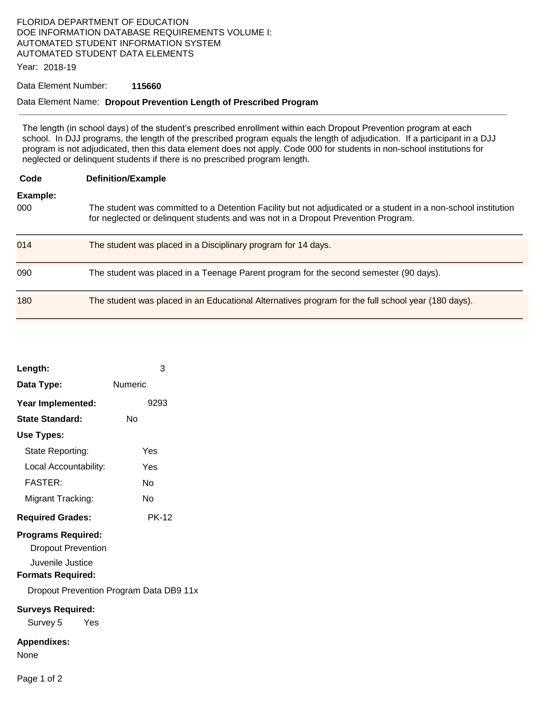### FLORIDA DEPARTMENT OF EDUCATION DOE INFORMATION DATABASE REQUIREMENTS VOLUME I: AUTOMATED STUDENT INFORMATION SYSTEM AUTOMATED STUDENT DATA ELEMENTS

Year: 2018-19

#### Data Element Number: **115660**

#### Data Element Name: **Dropout Prevention Length of Prescribed Program**

The length (in school days) of the student's prescribed enrollment within each Dropout Prevention program at each school. In DJJ programs, the length of the prescribed program equals the length of adjudication. If a participant in a DJJ program is not adjudicated, then this data element does not apply. Code 000 for students in non-school institutions for neglected or delinquent students if there is no prescribed program length.

| Code            | <b>Definition/Example</b>                                                                                                                                                                           |
|-----------------|-----------------------------------------------------------------------------------------------------------------------------------------------------------------------------------------------------|
| Example:<br>000 | The student was committed to a Detention Facility but not adjudicated or a student in a non-school institution<br>for neglected or delinguent students and was not in a Dropout Prevention Program. |
| 014             | The student was placed in a Disciplinary program for 14 days.                                                                                                                                       |
| 090             | The student was placed in a Teenage Parent program for the second semester (90 days).                                                                                                               |
| 180             | The student was placed in an Educational Alternatives program for the full school year (180 days).                                                                                                  |

| Length:                                                                                                                                                                                                | 3            |  |  |
|--------------------------------------------------------------------------------------------------------------------------------------------------------------------------------------------------------|--------------|--|--|
| Data Type:                                                                                                                                                                                             | Numeric      |  |  |
| Year Implemented:                                                                                                                                                                                      | 9293         |  |  |
| State Standard:                                                                                                                                                                                        | Nο           |  |  |
| Use Types:                                                                                                                                                                                             |              |  |  |
| State Reporting:                                                                                                                                                                                       | Yes          |  |  |
| Local Accountability:                                                                                                                                                                                  | Yes          |  |  |
| <b>FASTER:</b>                                                                                                                                                                                         | N٥           |  |  |
| Migrant Tracking:                                                                                                                                                                                      | N٥           |  |  |
| <b>Required Grades:</b>                                                                                                                                                                                | <b>PK-12</b> |  |  |
| <b>Programs Required:</b><br><b>Dropout Prevention</b><br>Juvenile Justice<br><b>Formats Required:</b><br>Dropout Prevention Program Data DB9 11x<br><b>Surveys Required:</b><br>Survey 5<br>yes Yes M |              |  |  |
| <b>Appendixes:</b><br>None                                                                                                                                                                             |              |  |  |
| Page 1 of 2                                                                                                                                                                                            |              |  |  |